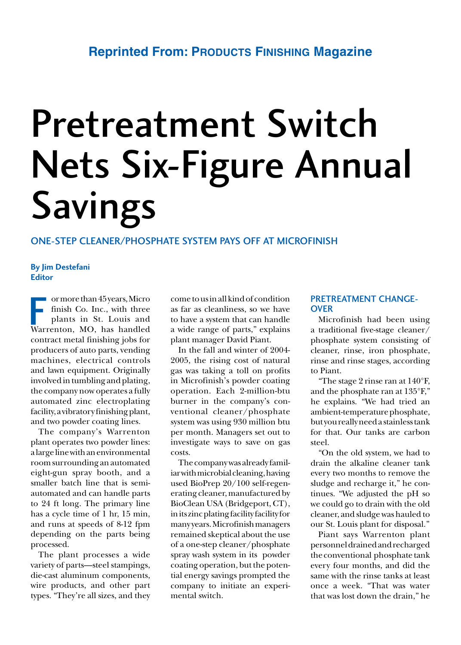# Pretreatment Switch Nets Six-Figure Annual **Savings**

# One-step cleaner/phosphate system pays off at Microfinish

# **By Jim Destefani Editor**

 ormorethan45years,Micro finish Co. Inc., with three plants in St. Louis and or more than 45 years, Micro<br>finish Co. Inc., with three<br>plants in St. Louis and<br>Warrenton, MO, has handled contract metal finishing jobs for producers of auto parts, vending machines, electrical controls and lawn equipment. Originally involved in tumbling and plating, the company now operates a fully automated zinc electroplating facility,avibratory finishingplant, and two powder coating lines.

The company's Warrenton plant operates two powder lines: alargelinewithanenvironmental roomsurrounding anautomated eight-gun spray booth, and a smaller batch line that is semiautomated and can handle parts to 24 ft long. The primary line has a cycle time of 1 hr, 15 min, and runs at speeds of 8-12 fpm depending on the parts being processed.

The plant processes a wide variety of parts—steel stampings, die-cast aluminum components, wire products, and other part types. "They're all sizes, and they cometousinallkindof condition as far as cleanliness, so we have to have a system that can handle a wide range of parts," explains plant manager David Piant.

In the fall and winter of 2004- 2005, the rising cost of natural gas was taking a toll on profits in Microfinish's powder coating operation. Each 2-million-btu burner in the company's conventional cleaner/phosphate system was using 930 million btu per month. Managers set out to investigate ways to save on gas costs.

Thecompanywasalready familiarwithmicrobialcleaning,having used BioPrep 20/100 self-regenerating cleaner,manufacturedby BioClean USA (Bridgeport, CT), in its zinc plating facility facility for many years.Microfinishmanagers remained skeptical about the use of a one-step cleaner/phosphate spray wash system in its powder coating operation, but the potential energy savings prompted the company to initiate an experimental switch.

# PRETREATMENT CHANGE-**OVER**

Microfinish had been using a traditional five-stage cleaner/ phosphate system consisting of cleaner, rinse, iron phosphate, rinse and rinse stages, according to Piant.

"The stage 2 rinse ran at 140°F, and the phosphate ran at 135°F," he explains. "We had tried an ambient-temperature phosphate, but youreallyneedastainlesstank for that. Our tanks are carbon steel.

"On the old system, we had to drain the alkaline cleaner tank every two months to remove the sludge and recharge it," he continues. "We adjusted the pH so we could go to drain with the old cleaner, and sludgewas hauled to our St. Louis plant for disposal."

Piant says Warrenton plant personneldrainedandrecharged the conventional phosphate tank every four months, and did the same with the rinse tanks at least once a week. "That was water that was lost down the drain," he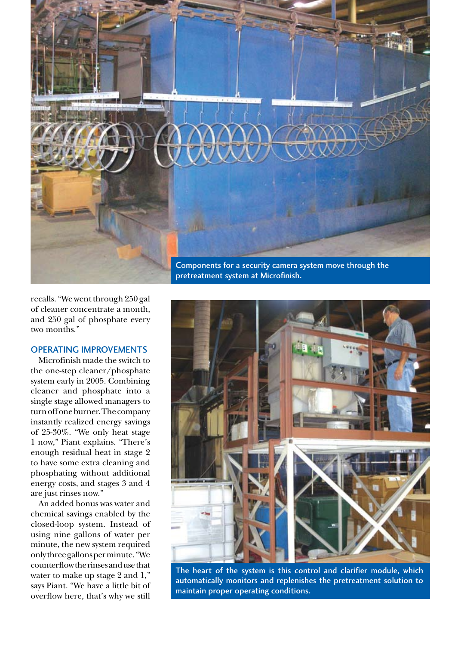

recalls. "We went through 250 gal of cleaner concentrate a month, and 250 gal of phosphate every two months."

# Operating Improvements

Microfinish made the switch to the one-step cleaner/phosphate system early in 2005. Combining cleaner and phosphate into a single stage allowed managers to turn off one burner. The company instantly realized energy savings of 25-30%. "We only heat stage 1 now," Piant explains. "There's enough residual heat in stage 2 to have some extra cleaning and phosphating without additional energy costs, and stages 3 and 4 are just rinses now."

An added bonus was water and chemical savings enabled by the closed-loop system. Instead of using nine gallons of water per minute, the new system required onlythreegallonsperminute."We counterflowtherinsesandusethat water to make up stage 2 and 1," says Piant. "We have a little bit of overflow here, that's why we still

pretreatment system at Microfinish.



The heart of the system is this control and clarifier module, which automatically monitors and replenishes the pretreatment solution to maintain proper operating conditions.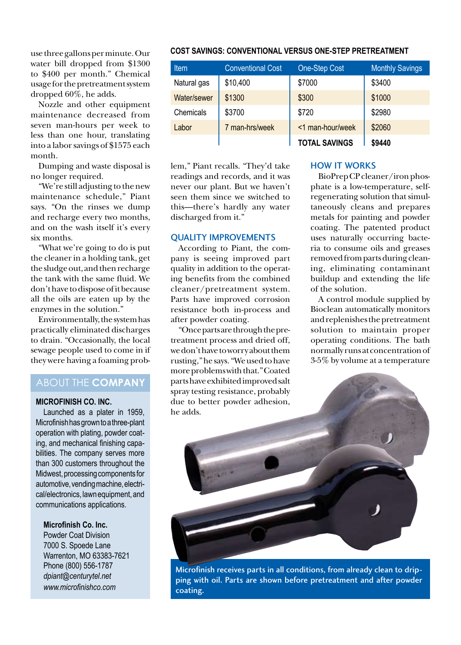usethreegallonsperminute.Our water bill dropped from \$1300 to \$400 per month." Chemical usagefor thepretreatmentsystem dropped 60%, he adds.

Nozzle and other equipment maintenance decreased from seven man-hours per week to less than one hour, translating into a labor savings of \$1575 each month.

Dumping and waste disposal is no longer required.

"We're still adjusting to the new maintenance schedule," Piant says. "On the rinses we dump and recharge every two months, and on the wash itself it's every six months.

"What we're going to do is put the cleaner in a holding tank, get the sludge out, and then recharge the tank with the same fluid. We don't have to dispose of it because all the oils are eaten up by the enzymes in the solution."

Environmentally, the system has practically eliminated discharges to drain. "Occasionally, the local sewage people used to come in if they were having a foaming prob-

# ABOUT THE **COMPANY**

#### **Microfinish Co. Inc.**

Launched as a plater in 1959, Microfinish has grown to a three-plant operation with plating, powder coating, and mechanical finishing capabilities. The company serves more than 300 customers throughout the Midwest, processing components for automotive, vending machine, electrical/electronics, lawn equipment, and communications applications.

### **Microfinish Co. Inc.**

Powder Coat Division 7000 S. Spoede Lane Warrenton, MO 63383-7621 Phone (800) 556-1787 *dpiant@centurytel.net www.microfinishco.com*

# **Cost Savings: Conventional versus One-Step Pretreatment**

| <b>Item</b> | <b>Conventional Cost</b> | One-Step Cost        | <b>Monthly Savings</b> |
|-------------|--------------------------|----------------------|------------------------|
| Natural gas | \$10,400                 | \$7000               | \$3400                 |
| Water/sewer | \$1300                   | \$300                | \$1000                 |
| Chemicals   | \$3700                   | \$720                | \$2980                 |
| Labor       | 7 man-hrs/week           | <1 man-hour/week     | \$2060                 |
|             |                          | <b>TOTAL SAVINGS</b> | \$9440                 |

lem," Piant recalls. "They'd take readings and records, and it was never our plant. But we haven't seen them since we switched to this—there's hardly any water discharged from it."

#### QUALITY IMPROVEMENTS

According to Piant, the company is seeing improved part quality in addition to the operating benefits from the combined cleaner/pretreatment system. Parts have improved corrosion resistance both in-process and after powder coating.

"Oncepartsarethroughthepretreatment process and dried off, we don't have to worry about them rusting,"hesays. "Weusedtohave more problems with that." Coated parts have exhibited improved salt spray testing resistance, probably due to better powder adhesion, he adds.

## **HOW IT WORKS**

BioPrepCPcleaner/ironphosphate is a low-temperature, selfregenerating solution that simultaneously cleans and prepares metals for painting and powder coating. The patented product uses naturally occurring bacteria to consume oils and greases removed from parts during cleaning, eliminating contaminant buildup and extending the life of the solution.

A control module supplied by Bioclean automatically monitors andreplenishesthepretreatment solution to maintain proper operating conditions. The bath normally runsat concentrationof 3-5% by volume at a temperature



Microfinish receives parts in all conditions, from already clean to dripping with oil. Parts are shown before pretreatment and after powder coating.